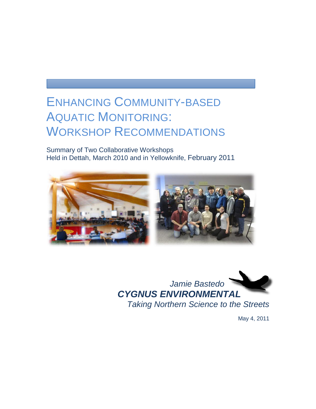# ENHANCING COMMUNITY-BASED AQUATIC MONITORING: WORKSHOP RECOMMENDATIONS

Summary of Two Collaborative Workshops Held in Dettah, March 2010 and in Yellowknife, February 2011





May 4, 2011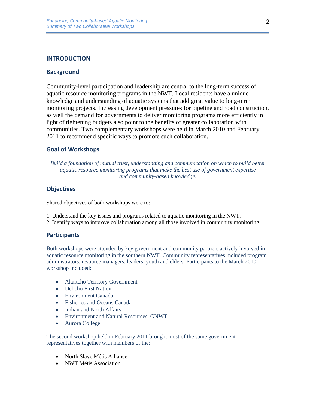# **INTRODUCTION**

## **Background**

Community-level participation and leadership are central to the long-term success of aquatic resource monitoring programs in the NWT. Local residents have a unique knowledge and understanding of aquatic systems that add great value to long-term monitoring projects. Increasing development pressures for pipeline and road construction, as well the demand for governments to deliver monitoring programs more efficiently in light of tightening budgets also point to the benefits of greater collaboration with communities. Two complementary workshops were held in March 2010 and February 2011 to recommend specific ways to promote such collaboration.

## **Goal of Workshops**

*Build a foundation of mutual trust, understanding and communication on which to build better aquatic resource monitoring programs that make the best use of government expertise and community-based knowledge.*

# **Objectives**

Shared objectives of both workshops were to:

- 1. Understand the key issues and programs related to aquatic monitoring in the NWT.
- 2. Identify ways to improve collaboration among all those involved in community monitoring.

#### **Participants**

Both workshops were attended by key government and community partners actively involved in aquatic resource monitoring in the southern NWT. Community representatives included program administrators, resource managers, leaders, youth and elders. Participants to the March 2010 workshop included:

- Akaitcho Territory Government
- Dehcho First Nation
- Environment Canada
- Fisheries and Oceans Canada
- Indian and North Affairs
- Environment and Natural Resources, GNWT
- Aurora College

The second workshop held in February 2011 brought most of the same government representatives together with members of the:

- North Slave Métis Alliance
- NWT Métis Association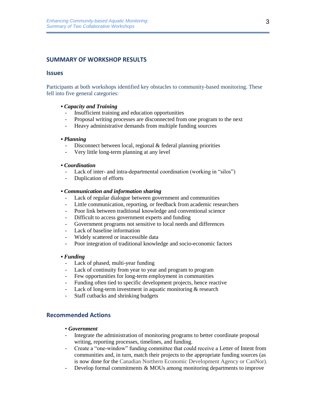# **SUMMARY OF WORKSHOP RESULTS**

#### **Issues**

Participants at both workshops identified key obstacles to community-based monitoring. These fell into five general categories:

- **•** *Capacity and Training*
	- Insufficient training and education opportunities
	- Proposal writing processes are disconnected from one program to the next
	- Heavy administrative demands from multiple funding sourcres

#### **•** *Planning*

- Disconnect between local, regional & federal planning priorities
- Very little long-term planning at any level

## **•** *Coordination*

- Lack of inter- and intra-departmental coordination (working in "silos")
- Duplication of efforts

## **•** *Communication and information sharing*

- Lack of regular dialogue between government and communities
- Little communication, reporting, or feedback from academic researchers
- Poor link between traditional knowledge and conventional science
- Difficult to access government experts and funding
- Government programs not sensitive to local needs and differences
- Lack of baseline information
- Widely scattered or inaccessible data
- Poor integration of traditional knowledge and socio-economic factors

#### **•** *Funding*

- Lack of phased, multi-year funding
- Lack of continuity from year to year and program to program
- Few opportunities for long-term employment in communities
- Funding often tied to specific development projects, hence reactive
- Lack of long-term investment in aquatic monitoring  $&$  research
- Staff cutbacks and shrinking budgets

# **Recommended Actions**

#### • *Government*

- Integrate the administration of monitoring programs to better coordinate proposal writing, reporting processes, timelines, and funding.
- Create a "one-window" funding committee that could receive a Letter of Intent from communities and, in turn, match their projects to the appropriate funding sources (as is now done for the Canadian Northern Economic Development Agency or CanNor).
- Develop formal commitments & MOUs among monitoring departments to improve